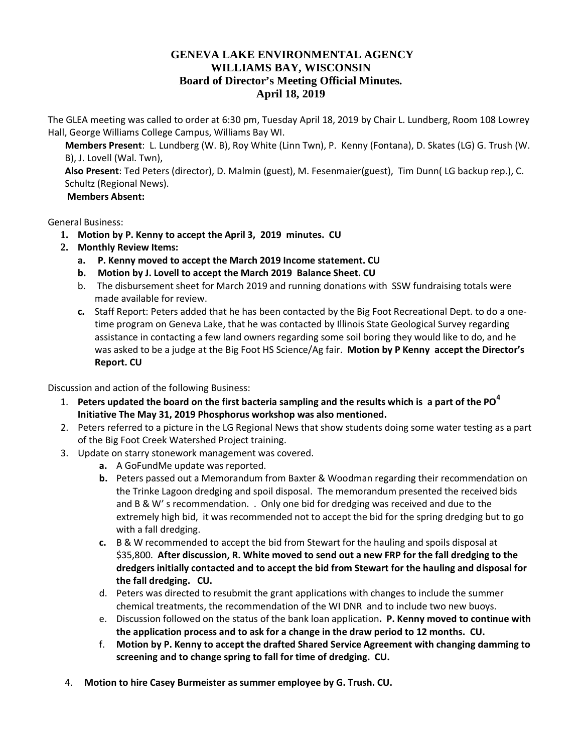## **GENEVA LAKE ENVIRONMENTAL AGENCY WILLIAMS BAY, WISCONSIN Board of Director's Meeting Official Minutes. April 18, 2019**

The GLEA meeting was called to order at 6:30 pm, Tuesday April 18, 2019 by Chair L. Lundberg, Room 108 Lowrey Hall, George Williams College Campus, Williams Bay WI.

**Members Present**: L. Lundberg (W. B), Roy White (Linn Twn), P. Kenny (Fontana), D. Skates (LG) G. Trush (W. B), J. Lovell (Wal. Twn),

**Also Present**: Ted Peters (director), D. Malmin (guest), M. Fesenmaier(guest), Tim Dunn( LG backup rep.), C. Schultz (Regional News).

## **Members Absent:**

General Business:

- **1. Motion by P. Kenny to accept the April 3, 2019 minutes. CU**
- **2. Monthly Review Items:**
	- **a. P. Kenny moved to accept the March 2019 Income statement. CU**
	- **b. Motion by J. Lovell to accept the March 2019 Balance Sheet. CU**
	- b. The disbursement sheet for March 2019 and running donations with SSW fundraising totals were made available for review.
	- **c.** Staff Report: Peters added that he has been contacted by the Big Foot Recreational Dept. to do a onetime program on Geneva Lake, that he was contacted by Illinois State Geological Survey regarding assistance in contacting a few land owners regarding some soil boring they would like to do, and he was asked to be a judge at the Big Foot HS Science/Ag fair. **Motion by P Kenny accept the Director's Report. CU**

Discussion and action of the following Business:

- 1. **Peters updated the board on the first bacteria sampling and the results which is a part of the PO<sup>4</sup> Initiative The May 31, 2019 Phosphorus workshop was also mentioned.**
- 2. Peters referred to a picture in the LG Regional News that show students doing some water testing as a part of the Big Foot Creek Watershed Project training.
- 3. Update on starry stonework management was covered.
	- **a.** A GoFundMe update was reported.
	- **b.** Peters passed out a Memorandum from Baxter & Woodman regarding their recommendation on the Trinke Lagoon dredging and spoil disposal. The memorandum presented the received bids and B & W' s recommendation. . Only one bid for dredging was received and due to the extremely high bid, it was recommended not to accept the bid for the spring dredging but to go with a fall dredging.
	- **c.** B & W recommended to accept the bid from Stewart for the hauling and spoils disposal at \$35,800. **After discussion, R. White moved to send out a new FRP for the fall dredging to the dredgers initially contacted and to accept the bid from Stewart for the hauling and disposal for the fall dredging. CU.**
	- d. Peters was directed to resubmit the grant applications with changes to include the summer chemical treatments, the recommendation of the WI DNR and to include two new buoys.
	- e. Discussion followed on the status of the bank loan application**. P. Kenny moved to continue with the application process and to ask for a change in the draw period to 12 months. CU.**
	- f. **Motion by P. Kenny to accept the drafted Shared Service Agreement with changing damming to screening and to change spring to fall for time of dredging. CU.**
- 4. **Motion to hire Casey Burmeister as summer employee by G. Trush. CU.**